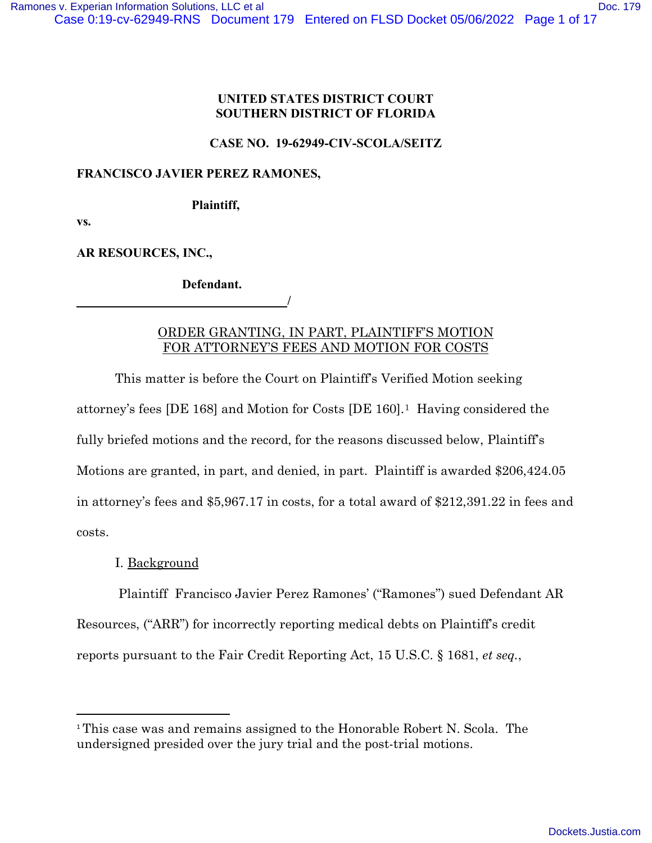## **UNITED STATES DISTRICT COURT SOUTHERN DISTRICT OF FLORIDA**

#### **CASE NO. 19-62949-CIV-SCOLA/SEITZ**

#### **FRANCISCO JAVIER PEREZ RAMONES,**

 **Plaintiff,** 

**vs.** 

**AR RESOURCES, INC.,**

 **Defendant.** 

*<i> /*  $\frac{1}{2}$   $\frac{1}{2}$   $\frac{1}{2}$   $\frac{1}{2}$   $\frac{1}{2}$   $\frac{1}{2}$   $\frac{1}{2}$   $\frac{1}{2}$   $\frac{1}{2}$   $\frac{1}{2}$   $\frac{1}{2}$   $\frac{1}{2}$   $\frac{1}{2}$   $\frac{1}{2}$   $\frac{1}{2}$   $\frac{1}{2}$   $\frac{1}{2}$   $\frac{1}{2}$   $\frac{1}{2}$   $\frac{1}{2}$   $\frac{1}{2}$   $\frac{$ 

# ORDER GRANTING, IN PART, PLAINTIFF'S MOTION FOR ATTORNEY'S FEES AND MOTION FOR COSTS

This matter is before the Court on Plaintiff's Verified Motion seeking attorney's fees [DE 168] and Motion for Costs [DE 160].[1](#page-0-0) Having considered the fully briefed motions and the record, for the reasons discussed below, Plaintiff's Motions are granted, in part, and denied, in part. Plaintiff is awarded \$206,424.05 in attorney's fees and \$5,967.17 in costs, for a total award of \$212,391.22 in fees and costs.

# I. Background

 Plaintiff Francisco Javier Perez Ramones' ("Ramones") sued Defendant AR Resources, ("ARR") for incorrectly reporting medical debts on Plaintiff's credit reports pursuant to the Fair Credit Reporting Act, 15 U.S.C. § 1681, *et seq.*,

<span id="page-0-0"></span><sup>&</sup>lt;sup>1</sup>This case was and remains assigned to the Honorable Robert N. Scola. The undersigned presided over the jury trial and the post-trial motions.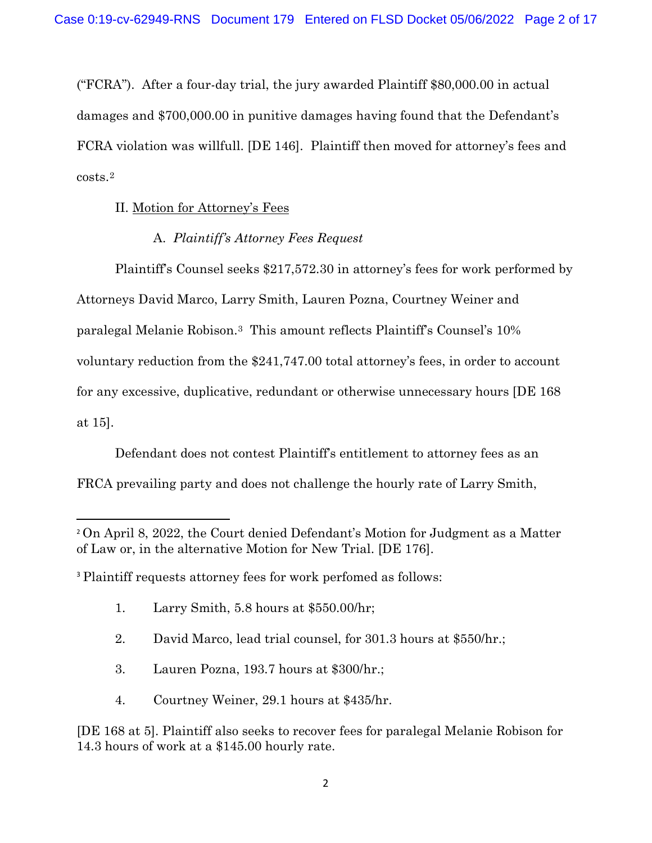("FCRA"). After a four-day trial, the jury awarded Plaintiff \$80,000.00 in actual damages and \$700,000.00 in punitive damages having found that the Defendant's FCRA violation was willfull. [DE 146]. Plaintiff then moved for attorney's fees and costs.[2](#page-1-0)

II. Motion for Attorney's Fees

## A. *Plaintiff's Attorney Fees Request*

Plaintiff's Counsel seeks \$217,572.30 in attorney's fees for work performed by Attorneys David Marco, Larry Smith, Lauren Pozna, Courtney Weiner and paralegal Melanie Robison. [3](#page-1-1) This amount reflects Plaintiff's Counsel's 10% voluntary reduction from the \$241,747.00 total attorney's fees, in order to account for any excessive, duplicative, redundant or otherwise unnecessary hours [DE 168 at 15].

Defendant does not contest Plaintiff's entitlement to attorney fees as an FRCA prevailing party and does not challenge the hourly rate of Larry Smith,

- 1. Larry Smith, 5.8 hours at \$550.00/hr;
- 2. David Marco, lead trial counsel, for 301.3 hours at \$550/hr.;
- 3. Lauren Pozna, 193.7 hours at \$300/hr.;
- 4. Courtney Weiner, 29.1 hours at \$435/hr.

[DE 168 at 5]. Plaintiff also seeks to recover fees for paralegal Melanie Robison for 14.3 hours of work at a \$145.00 hourly rate.

<span id="page-1-0"></span><sup>2</sup> On April 8, 2022, the Court denied Defendant's Motion for Judgment as a Matter of Law or, in the alternative Motion for New Trial. [DE 176].

<span id="page-1-1"></span><sup>&</sup>lt;sup>3</sup> Plaintiff requests attorney fees for work perfomed as follows: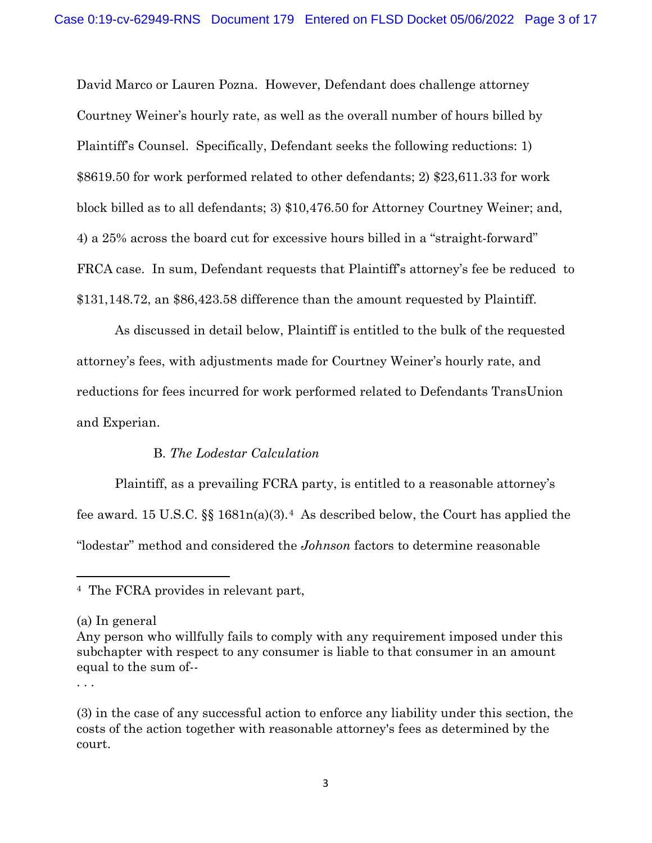David Marco or Lauren Pozna. However, Defendant does challenge attorney Courtney Weiner's hourly rate, as well as the overall number of hours billed by Plaintiff's Counsel. Specifically, Defendant seeks the following reductions: 1) \$8619.50 for work performed related to other defendants; 2) \$23,611.33 for work block billed as to all defendants; 3) \$10,476.50 for Attorney Courtney Weiner; and, 4) a 25% across the board cut for excessive hours billed in a "straight-forward" FRCA case. In sum, Defendant requests that Plaintiff's attorney's fee be reduced to \$131,148.72, an \$86,423.58 difference than the amount requested by Plaintiff.

As discussed in detail below, Plaintiff is entitled to the bulk of the requested attorney's fees, with adjustments made for Courtney Weiner's hourly rate, and reductions for fees incurred for work performed related to Defendants TransUnion and Experian.

# B. *The Lodestar Calculation*

Plaintiff, as a prevailing FCRA party, is entitled to a reasonable attorney's fee award. 15 U.S.C. §§ 1681n(a)(3). [4](#page-2-0) As described below, the Court has applied the "lodestar" method and considered the *Johnson* factors to determine reasonable

. . .

<span id="page-2-0"></span><sup>4</sup> The FCRA provides in relevant part,

<sup>(</sup>a) In general

Any person who willfully fails to comply with any requirement imposed under this subchapter with respect to any consumer is liable to that consumer in an amount equal to the sum of--

<sup>(3)</sup> in the case of any successful action to enforce any liability under this section, the costs of the action together with reasonable attorney's fees as determined by the court.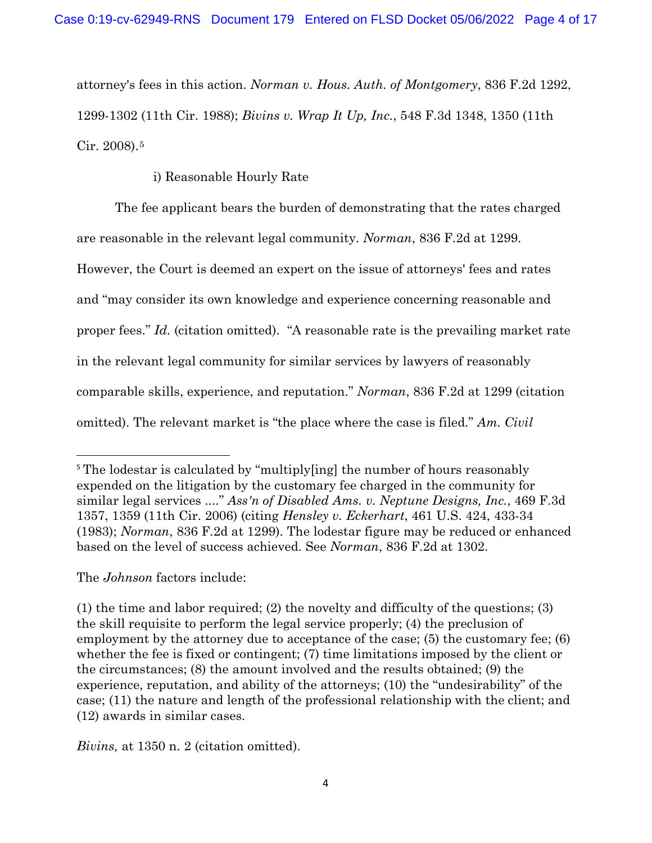attorney's fees in this action. *Norman v. Hous. Auth. of Montgomery*, 836 F.2d 1292, 1299-1302 (11th Cir. 1988); *Bivins v. Wrap It Up, Inc.*, 548 F.3d 1348, 1350 (11th Cir. 2008).[5](#page-3-0)

# i) Reasonable Hourly Rate

The fee applicant bears the burden of demonstrating that the rates charged are reasonable in the relevant legal community. *Norman*, 836 F.2d at 1299. However, the Court is deemed an expert on the issue of attorneys' fees and rates and "may consider its own knowledge and experience concerning reasonable and proper fees." *Id.* (citation omitted). "A reasonable rate is the prevailing market rate in the relevant legal community for similar services by lawyers of reasonably comparable skills, experience, and reputation." *Norman*, 836 F.2d at 1299 (citation omitted). The relevant market is "the place where the case is filed." *Am. Civil* 

The *Johnson* factors include:

*Bivins,* at 1350 n. 2 (citation omitted).

<span id="page-3-0"></span><sup>&</sup>lt;sup>5</sup> The lodestar is calculated by "multiply[ing] the number of hours reasonably expended on the litigation by the customary fee charged in the community for similar legal services ...." *Ass'n of Disabled Ams. v. Neptune Designs, Inc.*, 469 F.3d 1357, 1359 (11th Cir. 2006) (citing *Hensley v. Eckerhart*, 461 U.S. 424, 433-34 (1983); *Norman*, 836 F.2d at 1299). The lodestar figure may be reduced or enhanced based on the level of success achieved. See *Norman*, 836 F.2d at 1302.

<sup>(1)</sup> the time and labor required; (2) the novelty and difficulty of the questions; (3) the skill requisite to perform the legal service properly; (4) the preclusion of employment by the attorney due to acceptance of the case; (5) the customary fee; (6) whether the fee is fixed or contingent; (7) time limitations imposed by the client or the circumstances; (8) the amount involved and the results obtained; (9) the experience, reputation, and ability of the attorneys; (10) the "undesirability" of the case; (11) the nature and length of the professional relationship with the client; and (12) awards in similar cases.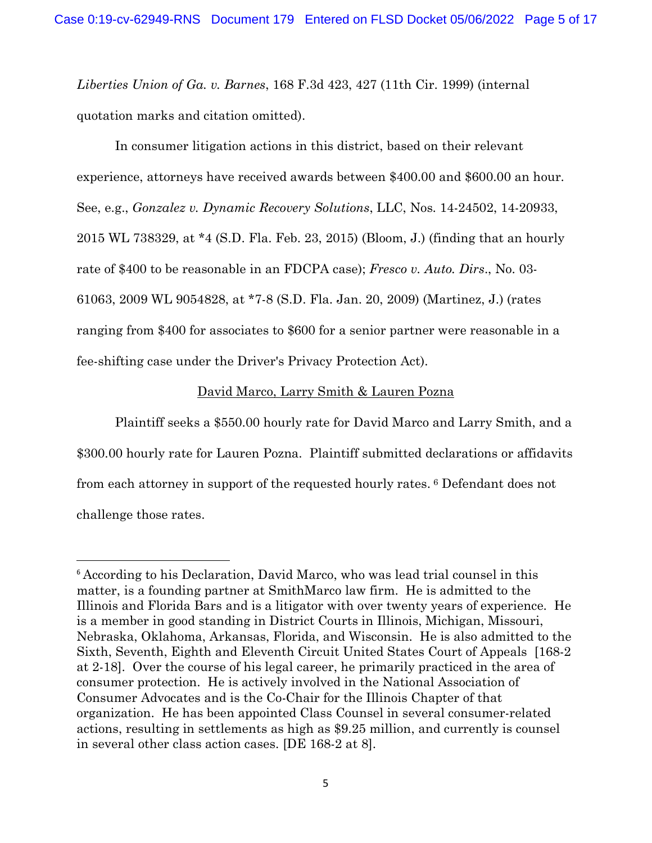*Liberties Union of Ga. v. Barnes*, 168 F.3d 423, 427 (11th Cir. 1999) (internal quotation marks and citation omitted).

In consumer litigation actions in this district, based on their relevant experience, attorneys have received awards between \$400.00 and \$600.00 an hour. See, e.g., *Gonzalez v. Dynamic Recovery Solutions*, LLC, Nos. 14-24502, 14-20933, 2015 WL 738329, at \*4 (S.D. Fla. Feb. 23, 2015) (Bloom, J.) (finding that an hourly rate of \$400 to be reasonable in an FDCPA case); *Fresco v. Auto. Dirs*., No. 03- 61063, 2009 WL 9054828, at \*7-8 (S.D. Fla. Jan. 20, 2009) (Martinez, J.) (rates ranging from \$400 for associates to \$600 for a senior partner were reasonable in a fee-shifting case under the Driver's Privacy Protection Act).

## David Marco, Larry Smith & Lauren Pozna

 Plaintiff seeks a \$550.00 hourly rate for David Marco and Larry Smith, and a \$300.00 hourly rate for Lauren Pozna. Plaintiff submitted declarations or affidavits from each attorney in support of the requested hourly rates. [6](#page-4-0) Defendant does not challenge those rates.

<span id="page-4-0"></span><sup>6</sup> According to his Declaration, David Marco, who was lead trial counsel in this matter, is a founding partner at SmithMarco law firm. He is admitted to the Illinois and Florida Bars and is a litigator with over twenty years of experience. He is a member in good standing in District Courts in Illinois, Michigan, Missouri, Nebraska, Oklahoma, Arkansas, Florida, and Wisconsin. He is also admitted to the Sixth, Seventh, Eighth and Eleventh Circuit United States Court of Appeals [168-2 at 2-18]. Over the course of his legal career, he primarily practiced in the area of consumer protection. He is actively involved in the National Association of Consumer Advocates and is the Co-Chair for the Illinois Chapter of that organization. He has been appointed Class Counsel in several consumer-related actions, resulting in settlements as high as \$9.25 million, and currently is counsel in several other class action cases. [DE 168-2 at 8].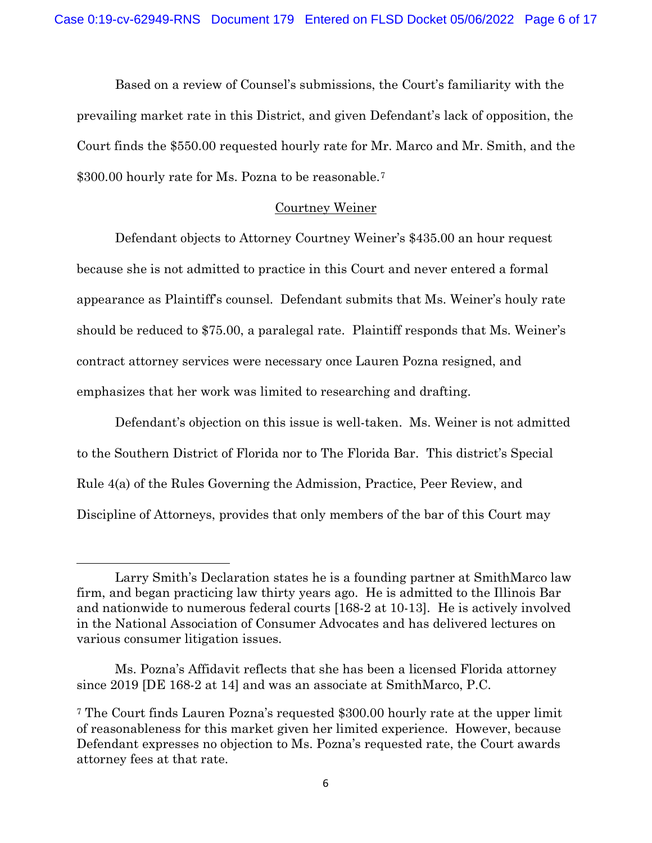Based on a review of Counsel's submissions, the Court's familiarity with the prevailing market rate in this District, and given Defendant's lack of opposition, the Court finds the \$550.00 requested hourly rate for Mr. Marco and Mr. Smith, and the \$300.00 hourly rate for Ms. Pozna to be reasonable.<sup>[7](#page-5-0)</sup>

### Courtney Weiner

Defendant objects to Attorney Courtney Weiner's \$435.00 an hour request because she is not admitted to practice in this Court and never entered a formal appearance as Plaintiff's counsel. Defendant submits that Ms. Weiner's houly rate should be reduced to \$75.00, a paralegal rate. Plaintiff responds that Ms. Weiner's contract attorney services were necessary once Lauren Pozna resigned, and emphasizes that her work was limited to researching and drafting.

Defendant's objection on this issue is well-taken. Ms. Weiner is not admitted to the Southern District of Florida nor to The Florida Bar. This district's Special Rule 4(a) of the Rules Governing the Admission, Practice, Peer Review, and Discipline of Attorneys, provides that only members of the bar of this Court may

Larry Smith's Declaration states he is a founding partner at SmithMarco law firm, and began practicing law thirty years ago. He is admitted to the Illinois Bar and nationwide to numerous federal courts [168-2 at 10-13]. He is actively involved in the National Association of Consumer Advocates and has delivered lectures on various consumer litigation issues.

Ms. Pozna's Affidavit reflects that she has been a licensed Florida attorney since 2019 [DE 168-2 at 14] and was an associate at SmithMarco, P.C.

<span id="page-5-0"></span><sup>7</sup> The Court finds Lauren Pozna's requested \$300.00 hourly rate at the upper limit of reasonableness for this market given her limited experience. However, because Defendant expresses no objection to Ms. Pozna's requested rate, the Court awards attorney fees at that rate.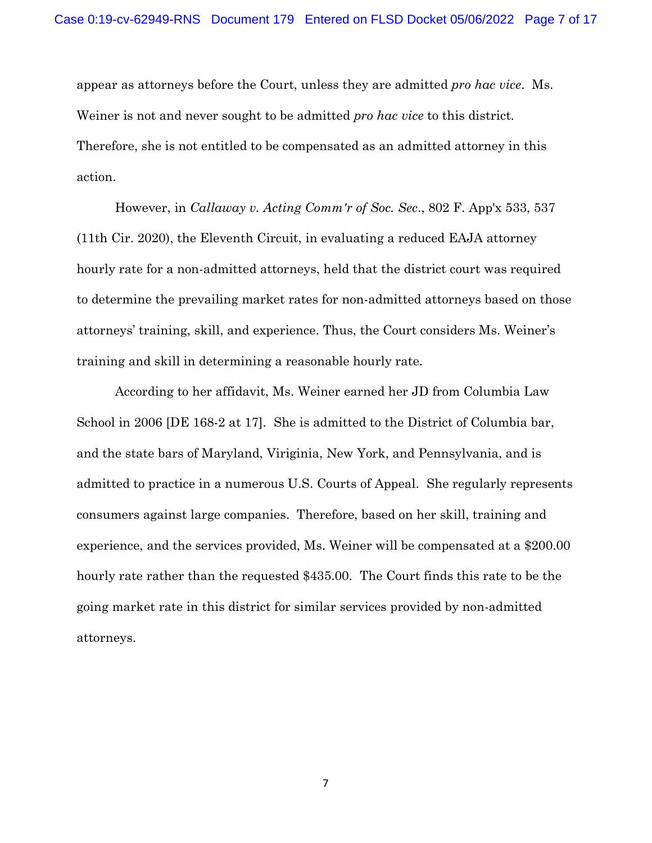appear as attorneys before the Court, unless they are admitted *pro hac vice*. Ms. Weiner is not and never sought to be admitted *pro hac vice* to this district. Therefore, she is not entitled to be compensated as an admitted attorney in this action.

However, in *Callaway v. Acting Comm'r of Soc. Sec*., 802 F. App'x 533, 537 (11th Cir. 2020), the Eleventh Circuit, in evaluating a reduced EAJA attorney hourly rate for a non-admitted attorneys, held that the district court was required to determine the prevailing market rates for non-admitted attorneys based on those attorneys' training, skill, and experience. Thus, the Court considers Ms. Weiner's training and skill in determining a reasonable hourly rate.

According to her affidavit, Ms. Weiner earned her JD from Columbia Law School in 2006 [DE 168-2 at 17]. She is admitted to the District of Columbia bar, and the state bars of Maryland, Viriginia, New York, and Pennsylvania, and is admitted to practice in a numerous U.S. Courts of Appeal. She regularly represents consumers against large companies. Therefore, based on her skill, training and experience, and the services provided, Ms. Weiner will be compensated at a \$200.00 hourly rate rather than the requested \$435.00. The Court finds this rate to be the going market rate in this district for similar services provided by non-admitted attorneys.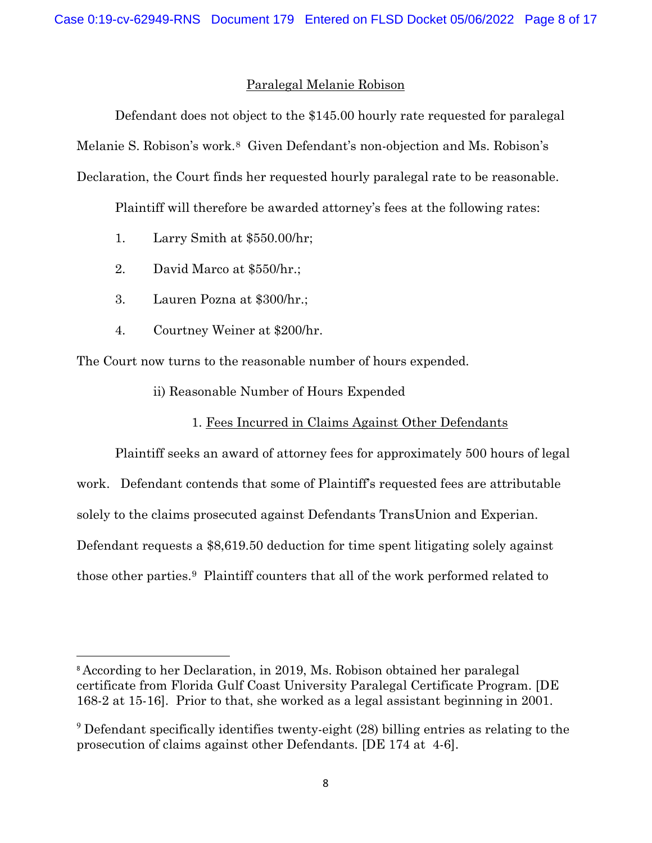## Paralegal Melanie Robison

Defendant does not object to the \$145.00 hourly rate requested for paralegal Melanie S. Robison's work.[8](#page-7-0) Given Defendant's non-objection and Ms. Robison's Declaration, the Court finds her requested hourly paralegal rate to be reasonable.

Plaintiff will therefore be awarded attorney's fees at the following rates:

- 1. Larry Smith at \$550.00/hr;
- 2. David Marco at \$550/hr.;
- 3. Lauren Pozna at \$300/hr.;
- 4. Courtney Weiner at \$200/hr.

The Court now turns to the reasonable number of hours expended.

ii) Reasonable Number of Hours Expended

## 1. Fees Incurred in Claims Against Other Defendants

Plaintiff seeks an award of attorney fees for approximately 500 hours of legal work. Defendant contends that some of Plaintiff's requested fees are attributable solely to the claims prosecuted against Defendants TransUnion and Experian. Defendant requests a \$8,619.50 deduction for time spent litigating solely against those other parties.[9](#page-7-1) Plaintiff counters that all of the work performed related to

<span id="page-7-0"></span><sup>8</sup> According to her Declaration, in 2019, Ms. Robison obtained her paralegal certificate from Florida Gulf Coast University Paralegal Certificate Program. [DE 168-2 at 15-16]. Prior to that, she worked as a legal assistant beginning in 2001.

<span id="page-7-1"></span><sup>9</sup> Defendant specifically identifies twenty-eight (28) billing entries as relating to the prosecution of claims against other Defendants. [DE 174 at 4-6].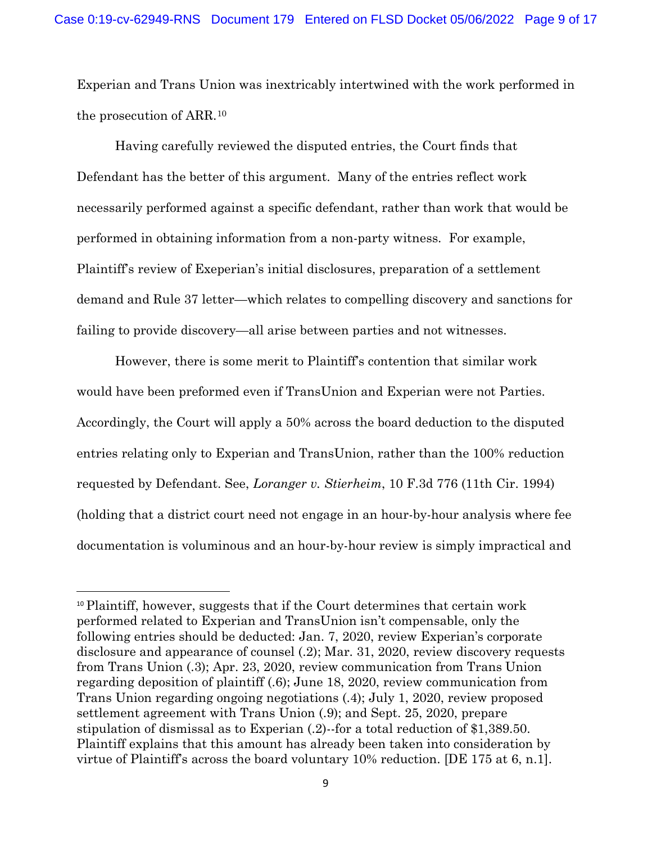Experian and Trans Union was inextricably intertwined with the work performed in the prosecution of ARR.[10](#page-8-0)

Having carefully reviewed the disputed entries, the Court finds that Defendant has the better of this argument. Many of the entries reflect work necessarily performed against a specific defendant, rather than work that would be performed in obtaining information from a non-party witness. For example, Plaintiff's review of Exeperian's initial disclosures, preparation of a settlement demand and Rule 37 letter—which relates to compelling discovery and sanctions for failing to provide discovery—all arise between parties and not witnesses.

 However, there is some merit to Plaintiff's contention that similar work would have been preformed even if TransUnion and Experian were not Parties. Accordingly, the Court will apply a 50% across the board deduction to the disputed entries relating only to Experian and TransUnion, rather than the 100% reduction requested by Defendant. See, *Loranger v. Stierheim*, 10 F.3d 776 (11th Cir. 1994) (holding that a district court need not engage in an hour-by-hour analysis where fee documentation is voluminous and an hour-by-hour review is simply impractical and

<span id="page-8-0"></span><sup>10</sup> Plaintiff, however, suggests that if the Court determines that certain work performed related to Experian and TransUnion isn't compensable, only the following entries should be deducted: Jan. 7, 2020, review Experian's corporate disclosure and appearance of counsel (.2); Mar. 31, 2020, review discovery requests from Trans Union (.3); Apr. 23, 2020, review communication from Trans Union regarding deposition of plaintiff (.6); June 18, 2020, review communication from Trans Union regarding ongoing negotiations (.4); July 1, 2020, review proposed settlement agreement with Trans Union (.9); and Sept. 25, 2020, prepare stipulation of dismissal as to Experian (.2)--for a total reduction of \$1,389.50. Plaintiff explains that this amount has already been taken into consideration by virtue of Plaintiff's across the board voluntary 10% reduction. [DE 175 at 6, n.1].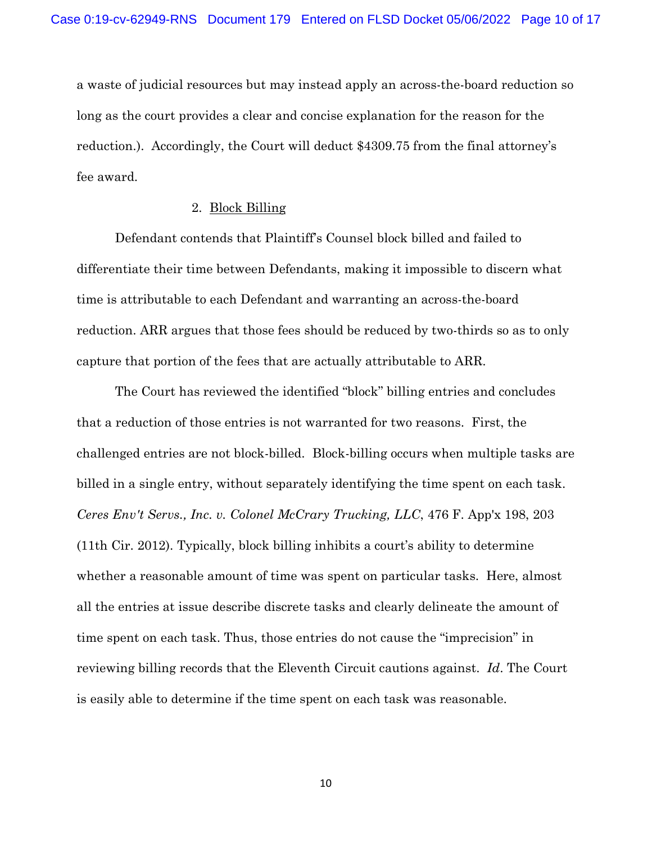a waste of judicial resources but may instead apply an across-the-board reduction so long as the court provides a clear and concise explanation for the reason for the reduction.). Accordingly, the Court will deduct \$4309.75 from the final attorney's fee award.

#### 2. Block Billing

Defendant contends that Plaintiff's Counsel block billed and failed to differentiate their time between Defendants, making it impossible to discern what time is attributable to each Defendant and warranting an across-the-board reduction. ARR argues that those fees should be reduced by two-thirds so as to only capture that portion of the fees that are actually attributable to ARR.

The Court has reviewed the identified "block" billing entries and concludes that a reduction of those entries is not warranted for two reasons. First, the challenged entries are not block-billed. Block-billing occurs when multiple tasks are billed in a single entry, without separately identifying the time spent on each task. *Ceres Env't Servs., Inc. v. Colonel McCrary Trucking, LLC*, 476 F. App'x 198, 203 (11th Cir. 2012). Typically, block billing inhibits a court's ability to determine whether a reasonable amount of time was spent on particular tasks. Here, almost all the entries at issue describe discrete tasks and clearly delineate the amount of time spent on each task. Thus, those entries do not cause the "imprecision" in reviewing billing records that the Eleventh Circuit cautions against. *Id*. The Court is easily able to determine if the time spent on each task was reasonable.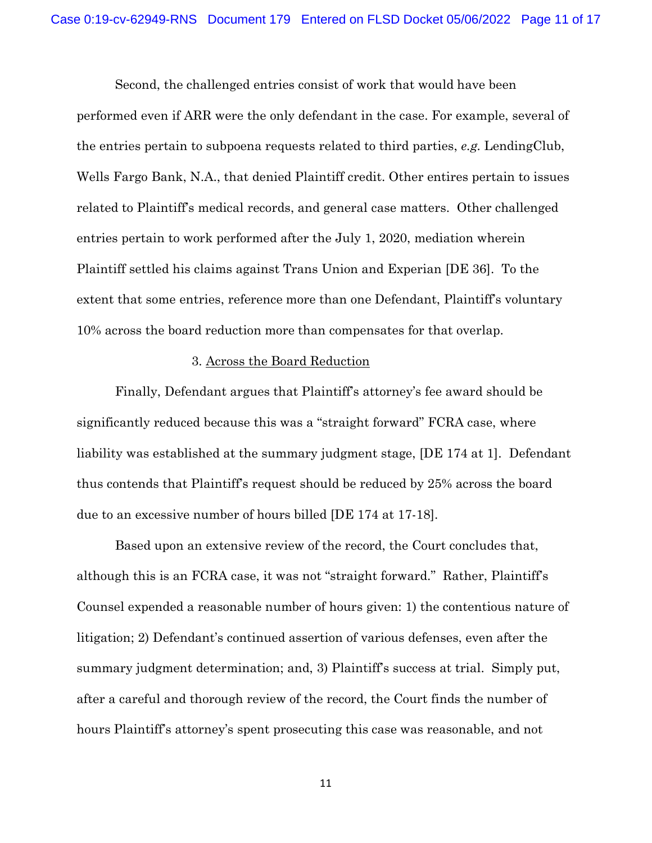Second, the challenged entries consist of work that would have been

performed even if ARR were the only defendant in the case. For example, several of the entries pertain to subpoena requests related to third parties, *e.g.* LendingClub, Wells Fargo Bank, N.A., that denied Plaintiff credit. Other entires pertain to issues related to Plaintiff's medical records, and general case matters. Other challenged entries pertain to work performed after the July 1, 2020, mediation wherein Plaintiff settled his claims against Trans Union and Experian [DE 36]. To the extent that some entries, reference more than one Defendant, Plaintiff's voluntary 10% across the board reduction more than compensates for that overlap.

#### 3. Across the Board Reduction

Finally, Defendant argues that Plaintiff's attorney's fee award should be significantly reduced because this was a "straight forward" FCRA case, where liability was established at the summary judgment stage, [DE 174 at 1]. Defendant thus contends that Plaintiff's request should be reduced by 25% across the board due to an excessive number of hours billed [DE 174 at 17-18].

Based upon an extensive review of the record, the Court concludes that, although this is an FCRA case, it was not "straight forward." Rather, Plaintiff's Counsel expended a reasonable number of hours given: 1) the contentious nature of litigation; 2) Defendant's continued assertion of various defenses, even after the summary judgment determination; and, 3) Plaintiff's success at trial. Simply put, after a careful and thorough review of the record, the Court finds the number of hours Plaintiff's attorney's spent prosecuting this case was reasonable, and not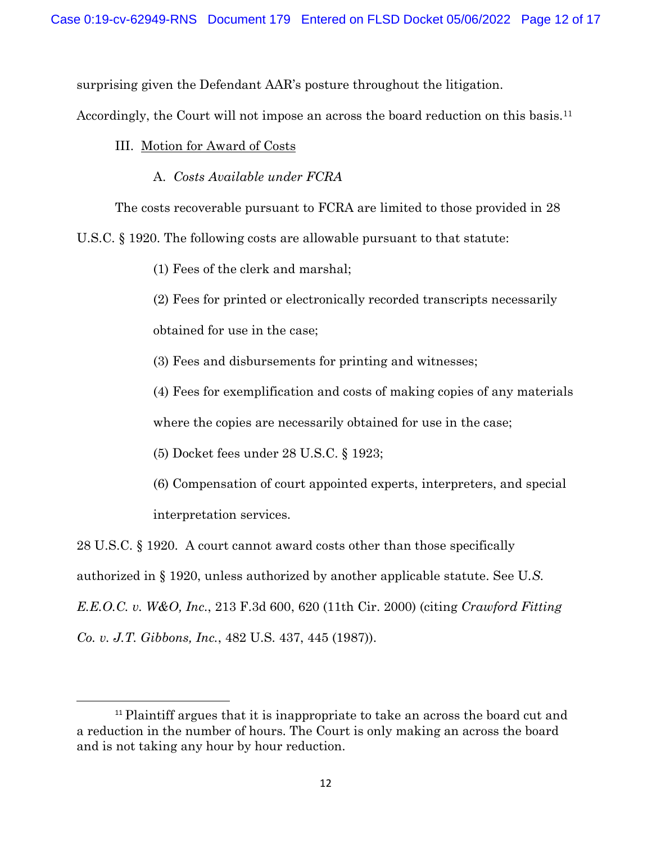surprising given the Defendant AAR's posture throughout the litigation.

Accordingly, the Court will not impose an across the board reduction on this basis.[11](#page-11-0)

### III. Motion for Award of Costs

### A. *Costs Available under FCRA*

The costs recoverable pursuant to FCRA are limited to those provided in 28

U.S.C. § 1920. The following costs are allowable pursuant to that statute:

(1) Fees of the clerk and marshal;

 (2) Fees for printed or electronically recorded transcripts necessarily obtained for use in the case;

(3) Fees and disbursements for printing and witnesses;

(4) Fees for exemplification and costs of making copies of any materials

where the copies are necessarily obtained for use in the case;

(5) Docket fees under 28 U.S.C. § 1923;

 (6) Compensation of court appointed experts, interpreters, and special interpretation services.

28 U.S.C. § 1920. A court cannot award costs other than those specifically authorized in § 1920, unless authorized by another applicable statute. See U*.S. E.E.O.C. v. W&O, Inc.*, 213 F.3d 600, 620 (11th Cir. 2000) (citing *Crawford Fitting Co. v. J.T. Gibbons, Inc.*, 482 U.S. 437, 445 (1987)).

<span id="page-11-0"></span><sup>&</sup>lt;sup>11</sup> Plaintiff argues that it is inappropriate to take an across the board cut and a reduction in the number of hours. The Court is only making an across the board and is not taking any hour by hour reduction.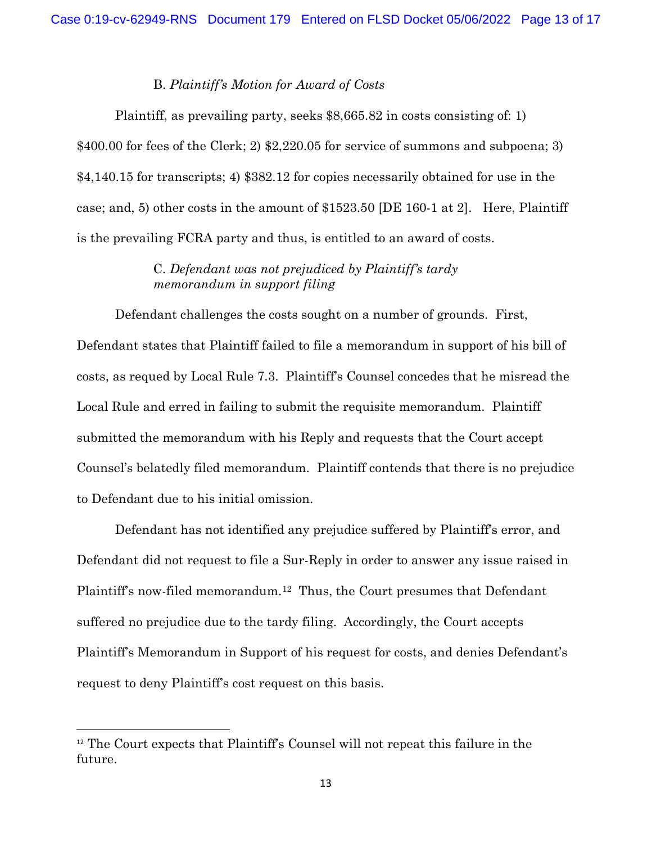#### B. *Plaintiff's Motion for Award of Costs*

Plaintiff, as prevailing party, seeks \$8,665.82 in costs consisting of: 1) \$400.00 for fees of the Clerk; 2) \$2,220.05 for service of summons and subpoena; 3) \$4,140.15 for transcripts; 4) \$382.12 for copies necessarily obtained for use in the case; and, 5) other costs in the amount of \$1523.50 [DE 160-1 at 2]. Here, Plaintiff is the prevailing FCRA party and thus, is entitled to an award of costs.

# C. *Defendant was not prejudiced by Plaintiff's tardy memorandum in support filing*

Defendant challenges the costs sought on a number of grounds. First, Defendant states that Plaintiff failed to file a memorandum in support of his bill of costs, as requed by Local Rule 7.3. Plaintiff's Counsel concedes that he misread the Local Rule and erred in failing to submit the requisite memorandum. Plaintiff submitted the memorandum with his Reply and requests that the Court accept Counsel's belatedly filed memorandum. Plaintiff contends that there is no prejudice to Defendant due to his initial omission.

Defendant has not identified any prejudice suffered by Plaintiff's error, and Defendant did not request to file a Sur-Reply in order to answer any issue raised in Plaintiff's now-filed memorandum. [12](#page-12-0) Thus, the Court presumes that Defendant suffered no prejudice due to the tardy filing. Accordingly, the Court accepts Plaintiff's Memorandum in Support of his request for costs, and denies Defendant's request to deny Plaintiff's cost request on this basis.

<span id="page-12-0"></span><sup>&</sup>lt;sup>12</sup> The Court expects that Plaintiff's Counsel will not repeat this failure in the future.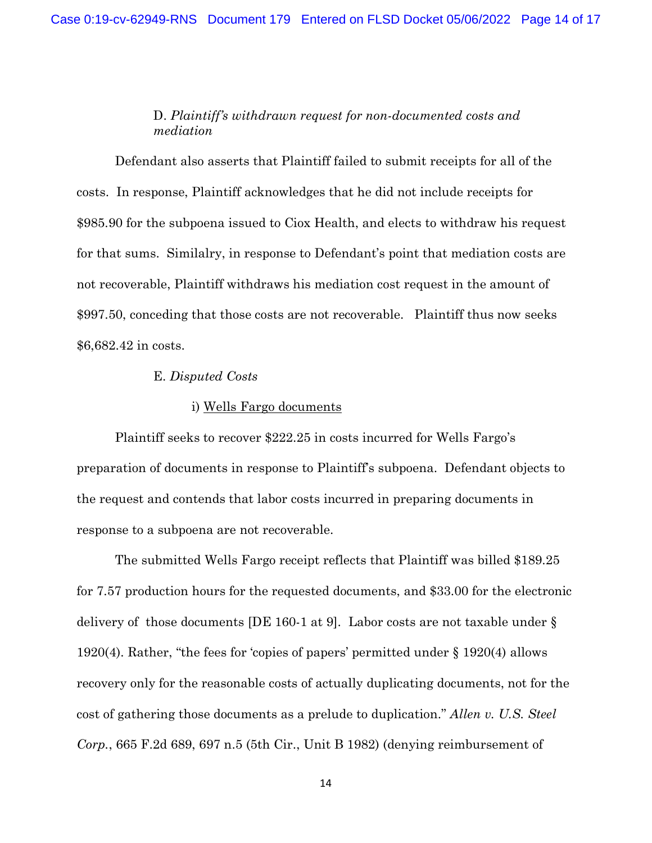## D. *Plaintiff's withdrawn request for non-documented costs and mediation*

 Defendant also asserts that Plaintiff failed to submit receipts for all of the costs. In response, Plaintiff acknowledges that he did not include receipts for \$985.90 for the subpoena issued to Ciox Health, and elects to withdraw his request for that sums. Similalry, in response to Defendant's point that mediation costs are not recoverable, Plaintiff withdraws his mediation cost request in the amount of \$997.50, conceding that those costs are not recoverable. Plaintiff thus now seeks \$6,682.42 in costs.

#### E. *Disputed Costs*

### i) Wells Fargo documents

Plaintiff seeks to recover \$222.25 in costs incurred for Wells Fargo's preparation of documents in response to Plaintiff's subpoena. Defendant objects to the request and contends that labor costs incurred in preparing documents in response to a subpoena are not recoverable.

The submitted Wells Fargo receipt reflects that Plaintiff was billed \$189.25 for 7.57 production hours for the requested documents, and \$33.00 for the electronic delivery of those documents [DE 160-1 at 9]. Labor costs are not taxable under § 1920(4). Rather, "the fees for 'copies of papers' permitted under § 1920(4) allows recovery only for the reasonable costs of actually duplicating documents, not for the cost of gathering those documents as a prelude to duplication." *Allen v. U.S. Steel Corp.*, 665 F.2d 689, 697 n.5 (5th Cir., Unit B 1982) (denying reimbursement of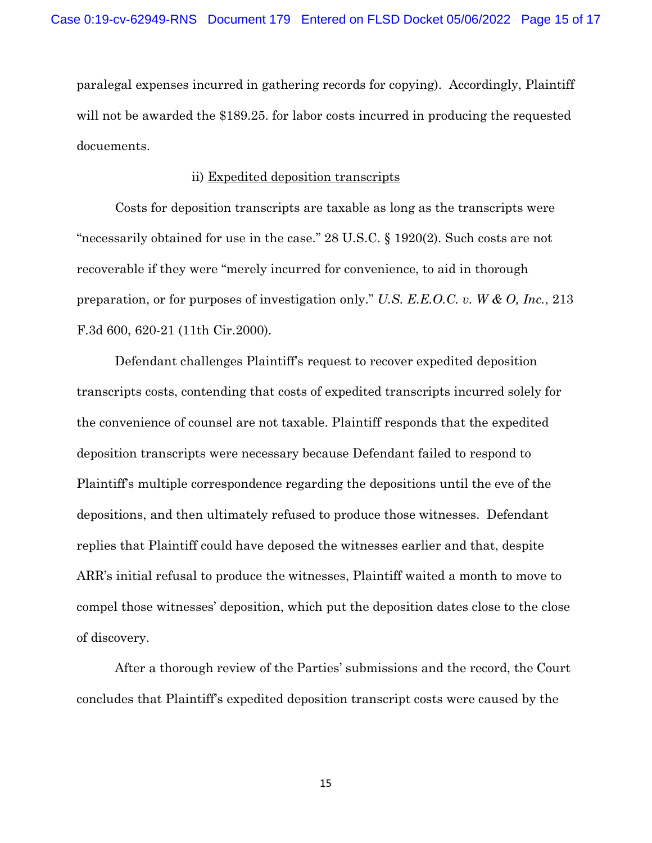paralegal expenses incurred in gathering records for copying). Accordingly, Plaintiff will not be awarded the \$189.25, for labor costs incurred in producing the requested docuements.

#### ii) Expedited deposition transcripts

Costs for deposition transcripts are taxable as long as the transcripts were "necessarily obtained for use in the case." 28 U.S.C. § 1920(2). Such costs are not recoverable if they were "merely incurred for convenience, to aid in thorough preparation, or for purposes of investigation only." *U.S. E.E.O.C. v. W & O, Inc.*, 213 F.3d 600, 620-21 (11th Cir.2000).

Defendant challenges Plaintiff's request to recover expedited deposition transcripts costs, contending that costs of expedited transcripts incurred solely for the convenience of counsel are not taxable. Plaintiff responds that the expedited deposition transcripts were necessary because Defendant failed to respond to Plaintiff's multiple correspondence regarding the depositions until the eve of the depositions, and then ultimately refused to produce those witnesses. Defendant replies that Plaintiff could have deposed the witnesses earlier and that, despite ARR's initial refusal to produce the witnesses, Plaintiff waited a month to move to compel those witnesses' deposition, which put the deposition dates close to the close of discovery.

After a thorough review of the Parties' submissions and the record, the Court concludes that Plaintiff's expedited deposition transcript costs were caused by the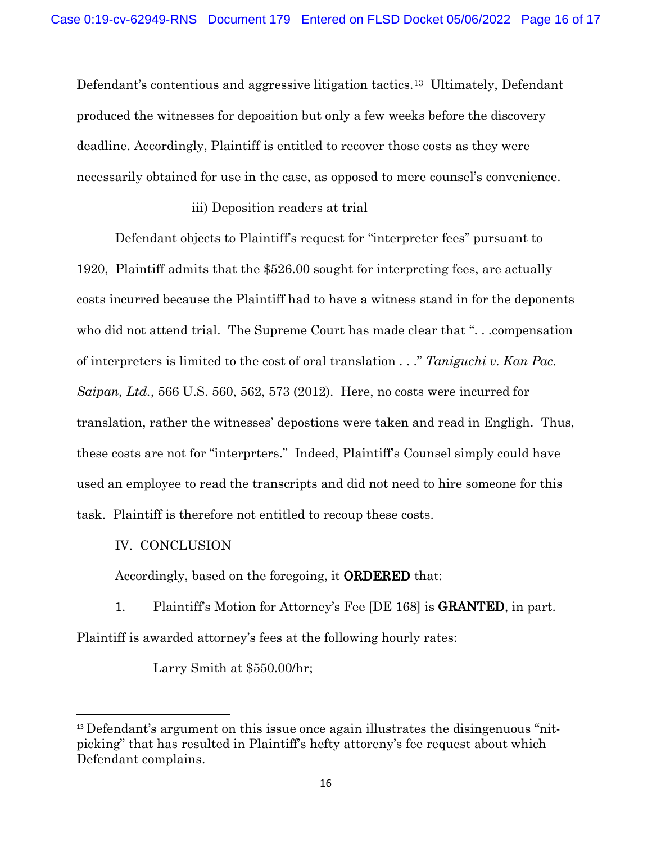Defendant's contentious and aggressive litigation tactics.[13](#page-15-0) Ultimately, Defendant produced the witnesses for deposition but only a few weeks before the discovery deadline. Accordingly, Plaintiff is entitled to recover those costs as they were necessarily obtained for use in the case, as opposed to mere counsel's convenience.

#### iii) Deposition readers at trial

Defendant objects to Plaintiff's request for "interpreter fees" pursuant to 1920, Plaintiff admits that the \$526.00 sought for interpreting fees, are actually costs incurred because the Plaintiff had to have a witness stand in for the deponents who did not attend trial. The Supreme Court has made clear that "... compensation of interpreters is limited to the cost of oral translation . . ." *Taniguchi v. Kan Pac. Saipan, Ltd.*, 566 U.S. 560, 562, 573 (2012). Here, no costs were incurred for translation, rather the witnesses' depostions were taken and read in Engligh. Thus, these costs are not for "interprters." Indeed, Plaintiff's Counsel simply could have used an employee to read the transcripts and did not need to hire someone for this task. Plaintiff is therefore not entitled to recoup these costs.

#### IV. CONCLUSION

Accordingly, based on the foregoing, it **ORDERED** that:

1. Plaintiff's Motion for Attorney's Fee [DE 168] is GRANTED, in part.

Plaintiff is awarded attorney's fees at the following hourly rates:

Larry Smith at \$550.00/hr;

<span id="page-15-0"></span><sup>&</sup>lt;sup>13</sup> Defendant's argument on this issue once again illustrates the disingenuous "nitpicking" that has resulted in Plaintiff's hefty attoreny's fee request about which Defendant complains.